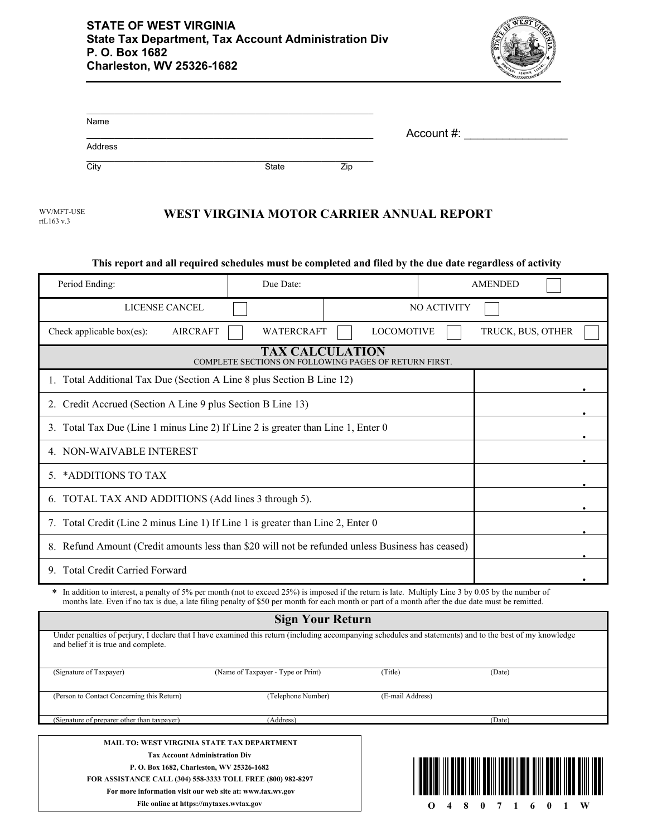

| Name                                                        |                 |                                                                                                                                                    |     |                   |                                                                                                                                                          |
|-------------------------------------------------------------|-----------------|----------------------------------------------------------------------------------------------------------------------------------------------------|-----|-------------------|----------------------------------------------------------------------------------------------------------------------------------------------------------|
|                                                             |                 |                                                                                                                                                    |     | Account #:        |                                                                                                                                                          |
| Address                                                     |                 |                                                                                                                                                    |     |                   |                                                                                                                                                          |
| City                                                        |                 | <b>State</b>                                                                                                                                       | Zip |                   |                                                                                                                                                          |
| WV/MFT-USE<br>rtL163 v.3                                    |                 | WEST VIRGINIA MOTOR CARRIER ANNUAL REPORT                                                                                                          |     |                   |                                                                                                                                                          |
|                                                             |                 |                                                                                                                                                    |     |                   | This report and all required schedules must be completed and filed by the due date regardless of activity                                                |
| Period Ending:                                              |                 | Due Date:                                                                                                                                          |     |                   | <b>AMENDED</b>                                                                                                                                           |
|                                                             | LICENSE CANCEL  |                                                                                                                                                    |     | NO ACTIVITY       |                                                                                                                                                          |
| Check applicable box(es):                                   | <b>AIRCRAFT</b> | WATERCRAFT                                                                                                                                         |     | <b>LOCOMOTIVE</b> | TRUCK, BUS, OTHER                                                                                                                                        |
|                                                             |                 | <b>TAX CALCULATION</b><br>COMPLETE SECTIONS ON FOLLOWING PAGES OF RETURN FIRST.                                                                    |     |                   |                                                                                                                                                          |
|                                                             |                 | 1. Total Additional Tax Due (Section A Line 8 plus Section B Line 12)                                                                              |     |                   |                                                                                                                                                          |
| 2. Credit Accrued (Section A Line 9 plus Section B Line 13) |                 |                                                                                                                                                    |     |                   |                                                                                                                                                          |
|                                                             |                 | 3. Total Tax Due (Line 1 minus Line 2) If Line 2 is greater than Line 1, Enter 0                                                                   |     |                   |                                                                                                                                                          |
| 4. NON-WAIVABLE INTEREST                                    |                 |                                                                                                                                                    |     |                   |                                                                                                                                                          |
| 5. *ADDITIONS TO TAX                                        |                 |                                                                                                                                                    |     |                   |                                                                                                                                                          |
| 6. TOTAL TAX AND ADDITIONS (Add lines 3 through 5).         |                 |                                                                                                                                                    |     |                   |                                                                                                                                                          |
|                                                             |                 | 7. Total Credit (Line 2 minus Line 1) If Line 1 is greater than Line 2, Enter 0                                                                    |     |                   |                                                                                                                                                          |
|                                                             |                 | 8. Refund Amount (Credit amounts less than \$20 will not be refunded unless Business has ceased)                                                   |     |                   |                                                                                                                                                          |
| 9. Total Credit Carried Forward                             |                 |                                                                                                                                                    |     |                   |                                                                                                                                                          |
|                                                             |                 | months late. Even if no tax is due, a late filing penalty of \$50 per month for each month or part of a month after the due date must be remitted. |     |                   | * In addition to interest, a penalty of 5% per month (not to exceed 25%) is imposed if the return is late. Multiply Line 3 by 0.05 by the number of      |
|                                                             |                 | <b>Sign Your Return</b>                                                                                                                            |     |                   |                                                                                                                                                          |
| and belief it is true and complete.                         |                 |                                                                                                                                                    |     |                   | Under penalties of perjury, I declare that I have examined this return (including accompanying schedules and statements) and to the best of my knowledge |
| (Signature of Taxpayer)                                     |                 | (Name of Taxpayer - Type or Print)                                                                                                                 |     | (Title)           | (Date)                                                                                                                                                   |
| (Person to Contact Concerning this Return)                  |                 | (Telephone Number)                                                                                                                                 |     | (E-mail Address)  |                                                                                                                                                          |
| (Signature of preparer other than taxpayer)                 |                 | (Address)                                                                                                                                          |     |                   | (Date)                                                                                                                                                   |

**MAIL TO: WEST VIRGINIA STATE TAX DEPARTMENT Tax Account Administration Div P. O. Box 1682, Charleston, WV 25326-1682 FOR ASSISTANCE CALL (304) 558-3333 TOLL FREE (800) 982-8297 For more information visit our web site at: www.tax.wv.gov**